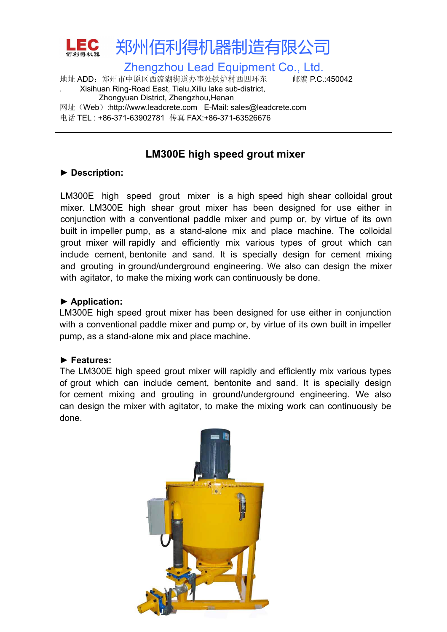

## **LM300E high speed grout mixer**

LM300E high speed grout mixer is a high speed high shear colloidal grout mixer. LM300E high shear grout mixer has been designed for use either in conjunction with a conventional paddle mixer and pump or, by virtue of its own built in impeller pump, as a stand-alone mix and place machine. The colloidal grout mixer will rapidly and efficiently mix various types of grout which can include cement, bentonite and sand. It is specially design for cement mixing and grouting in ground/underground engineering. We also can design the mixer with agitator, to make the mixing work can continuously be done. ► Bescription:<br>LM300E high speed grout mixe<br>mixer. LM300E high shear grout<br>conjunction with a conventional pac<br>built in impeller pump, as a stand-<br>grout mixer will rapidly and efficie<br>include cement, bentonite and sar<br>and **EXECUTE:** Fourth in the paint of the section of the section of the include cement, bentonite and sand grouting in ground/underground with agitator, to make the mixing wo<br>
► Application:<br> **► Application:**<br> **► Application:** 

LM300E high speed grout mixer has been designed for use either in conjunction with a conventional paddle mixer and pump or, by virtue of its own built in impeller pump, as a stand-alone mix and place machine.

The LM300E high speed grout mixer will rapidly and efficiently mix various types of grout which can include cement, bentonite and sand. It is specially design for cement mixing and grouting in ground/underground engineering. We also can design the mixer with agitator, to make the mixing work can continuously be done.

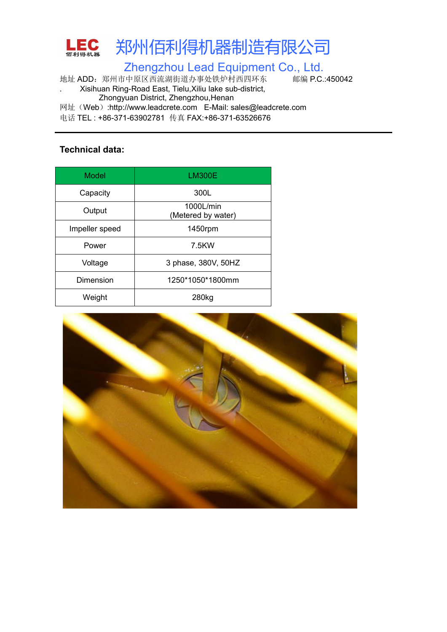

Zhengzhou Lead Equipment Co., Ltd.

地址 ADD:郑州市中原区西流湖街道办事处铁炉村西四环东 邮编 P.C.:450042 . Xisihuan Ring-Road East, Tielu,Xiliu lake sub-district,

Zhongyuan District, Zhengzhou,Henan

网址(Web):http://www.leadcrete.com E-Mail: sales@leadcrete.com

电话 TEL : +86-371-63902781 传真 FAX:+86-371-63526676

### **Technical data:**

| <b>Model</b>   | <b>LM300E</b>                   |
|----------------|---------------------------------|
| Capacity       | 300L                            |
| Output         | 1000L/min<br>(Metered by water) |
| Impeller speed | 1450rpm                         |
| Power          | 7.5KW                           |
| Voltage        | 3 phase, 380V, 50HZ             |
| Dimension      | 1250*1050*1800mm                |
| Weight         | 280kg                           |